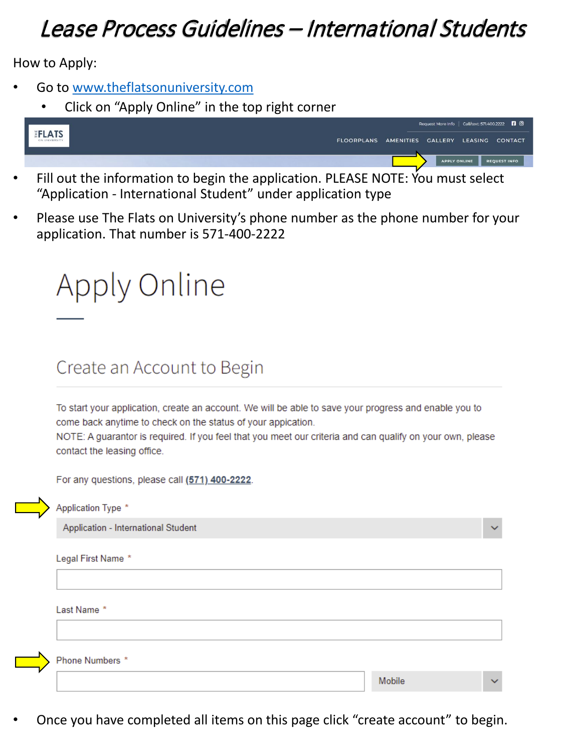## Lease Process Guidelines – International Students

How to Apply:

- Go to [www.theflatsonuniversity.com](https://theflatsonuniversity.com/)
	- Click on "Apply Online" in the top right corner

|        |                                              |                     | Request More Info   Call/text 571.400.2222   8 |                     |
|--------|----------------------------------------------|---------------------|------------------------------------------------|---------------------|
| EFLATS | FLOORPLANS AMENITIES GALLERY LEASING CONTACT |                     |                                                |                     |
|        |                                              |                     |                                                |                     |
|        |                                              | <b>APPLY ONLINE</b> |                                                | <b>REQUEST INFO</b> |

- Fill out the information to begin the application. PLEASE NOTE: You must select "Application - International Student" under application type
- Please use The Flats on University's phone number as the phone number for your application. That number is 571-400-2222



## Create an Account to Begin

To start your application, create an account. We will be able to save your progress and enable you to come back anytime to check on the status of your appication.

NOTE: A guarantor is required. If you feel that you meet our criteria and can qualify on your own, please contact the leasing office.

For any questions, please call (571) 400-2222.

Application - International Student

Legal First Name \*

Application Type \*

Last Name \*

Phone Numbers \*

Mobile

• Once you have completed all items on this page click "create account" to begin.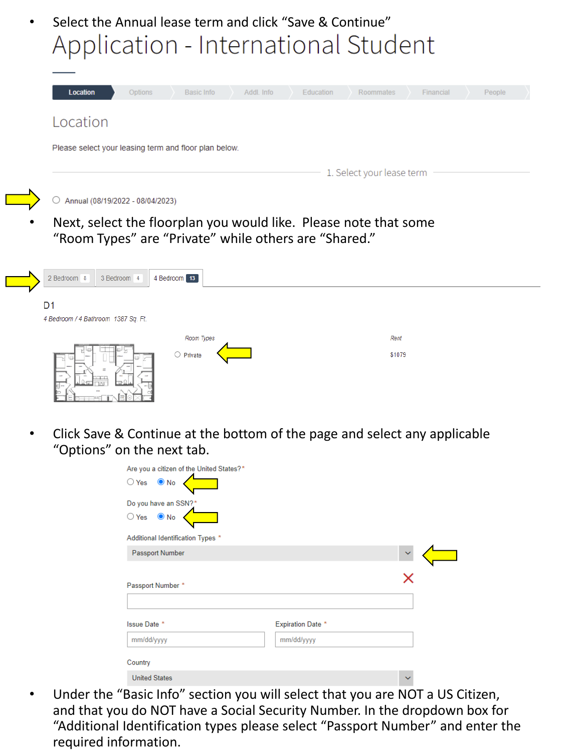• Select the Annual lease term and click "Save & Continue" Application - International Student

| Location                                              | Options | <b>Basic Info</b> | Addl. Info | Education | Roommates | Financial | People |
|-------------------------------------------------------|---------|-------------------|------------|-----------|-----------|-----------|--------|
| Location                                              |         |                   |            |           |           |           |        |
| Please select your leasing term and floor plan below. |         |                   |            |           |           |           |        |
|                                                       |         |                   |            |           |           |           |        |

Next, select the floorplan you would like. Please note that some "Room Types" are "Private" while others are "Shared."

| 4 Bedroom 13<br>3 Bedroom 4<br>2 Bedroom 8                                                    |                |
|-----------------------------------------------------------------------------------------------|----------------|
| D <sub>1</sub><br>4 Bedroom / 4 Bathroom 1387 Sq. Ft.                                         |                |
| Room Types<br>$\bigcirc$ Private                                                              | Rent<br>\$1079 |
| ments.<br><b>CLASS</b><br>雷<br><b>Select</b><br><b>DOCUM</b><br>$\mathbb{R}$ and $\mathbb{R}$ |                |

• Click Save & Continue at the bottom of the page and select any applicable "Options" on the next tab.

| Are you a citizen of the United States?* |                          |              |  |
|------------------------------------------|--------------------------|--------------|--|
| $\bigcirc$ Yes $\bigcirc$ No             |                          |              |  |
| Do you have an SSN?*                     |                          |              |  |
| $O$ Yes $\bullet$ No                     |                          |              |  |
| Additional Identification Types *        |                          |              |  |
| <b>Passport Number</b>                   |                          | $\checkmark$ |  |
| Passport Number *                        |                          |              |  |
|                                          |                          |              |  |
| Issue Date *                             | <b>Expiration Date *</b> |              |  |
| mm/dd/yyyy                               | mm/dd/yyyy               |              |  |
| Country                                  |                          |              |  |
| <b>United States</b>                     |                          | $\checkmark$ |  |

• Under the "Basic Info" section you will select that you are NOT a US Citizen, and that you do NOT have a Social Security Number. In the dropdown box for "Additional Identification types please select "Passport Number" and enter the required information.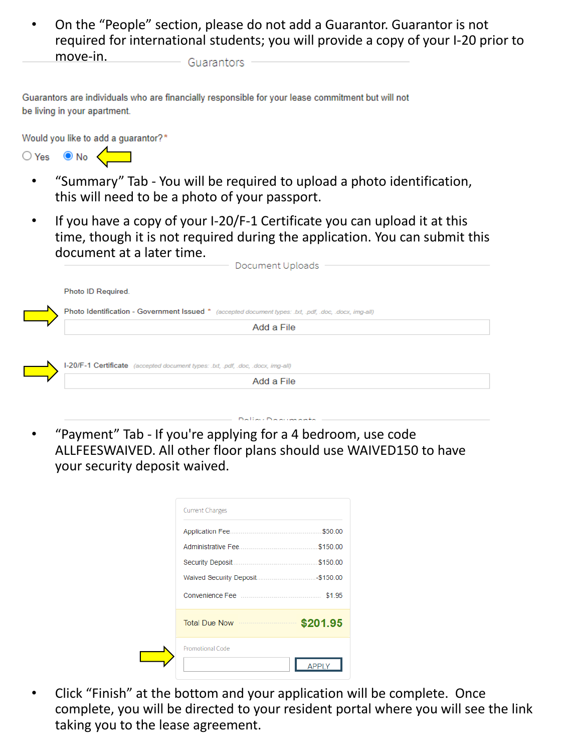• On the "People" section, please do not add a Guarantor. Guarantor is not required for international students; you will provide a copy of your I-20 prior to move-in. Guarantors

Guarantors are individuals who are financially responsible for your lease commitment but will not be living in your apartment.

Would you like to add a guarantor?\*



- "Summary" Tab You will be required to upload a photo identification, this will need to be a photo of your passport.
- If you have a copy of your I-20/F-1 Certificate you can upload it at this time, though it is not required during the application. You can submit this document at a later time.

| Document Uploads                                                                                       |
|--------------------------------------------------------------------------------------------------------|
| Photo ID Required.                                                                                     |
| Photo Identification - Government Issued * (accepted document types: .txt, .pdf, .doc, .docx, img-all) |
| Add a File                                                                                             |
|                                                                                                        |
|                                                                                                        |
| I-20/F-1 Certificate (accepted document types: .txt, .pdf, .doc, .docx, img-all)                       |

• "Payment" Tab - If you're applying for a 4 bedroom, use code ALLFEESWAIVED. All other floor plans should use WAIVED150 to have your security deposit waived.

| <b>Current Charges</b>        |          |
|-------------------------------|----------|
|                               | \$50.00  |
|                               | \$150.00 |
|                               |          |
|                               |          |
|                               | \$1.95   |
| Total Due Now <b>\$201.95</b> |          |
| Promotional Code              |          |
|                               |          |

• Click "Finish" at the bottom and your application will be complete. Once complete, you will be directed to your resident portal where you will see the link taking you to the lease agreement.